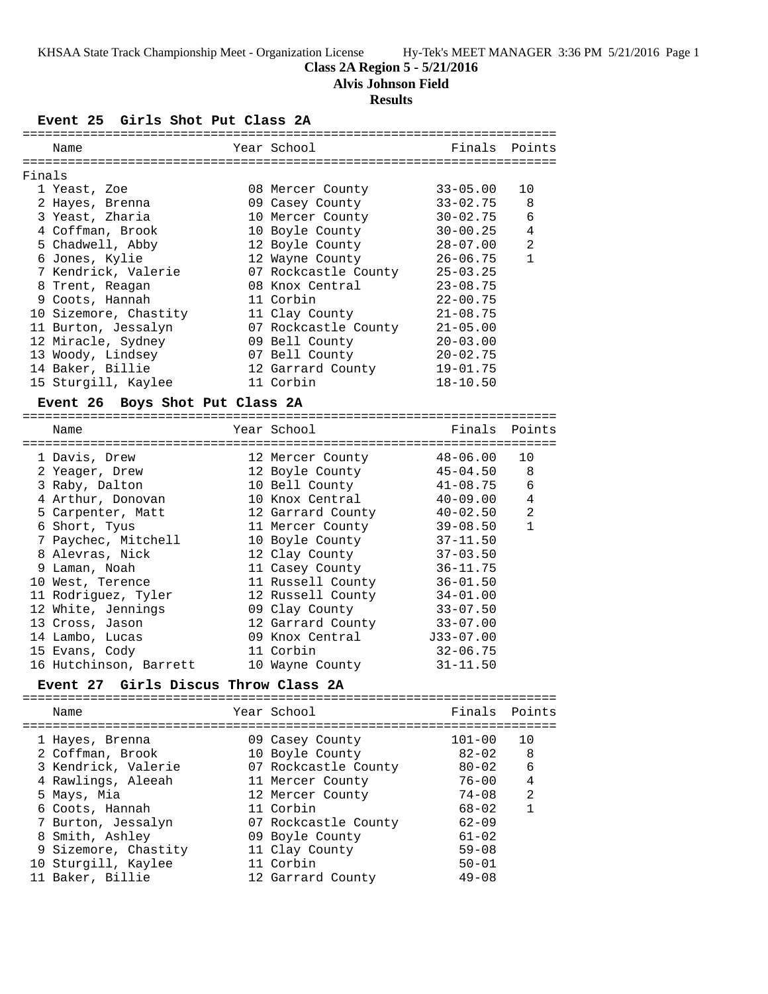#### **Class 2A Region 5 - 5/21/2016**

**Alvis Johnson Field**

## **Results**

**Event 25 Girls Shot Put Class 2A**

|        | Name                            |  | Year School          |              | Finals Points  |  |  |
|--------|---------------------------------|--|----------------------|--------------|----------------|--|--|
|        |                                 |  |                      |              |                |  |  |
| Finals |                                 |  |                      |              |                |  |  |
|        | 1 Yeast, Zoe                    |  | 08 Mercer County     | $33 - 05.00$ | 10             |  |  |
|        | 2 Hayes, Brenna                 |  | 09 Casey County      | $33 - 02.75$ | 8              |  |  |
|        | 3 Yeast, Zharia                 |  | 10 Mercer County     | $30 - 02.75$ | 6              |  |  |
|        | 4 Coffman, Brook                |  | 10 Boyle County      | $30 - 00.25$ | 4              |  |  |
|        | 5 Chadwell, Abby                |  | 12 Boyle County      | $28 - 07.00$ | $\overline{a}$ |  |  |
|        | 6 Jones, Kylie                  |  | 12 Wayne County      | $26 - 06.75$ | $\mathbf{1}$   |  |  |
|        | 7 Kendrick, Valerie             |  | 07 Rockcastle County | $25 - 03.25$ |                |  |  |
|        | 8 Trent, Reagan                 |  | 08 Knox Central      | $23 - 08.75$ |                |  |  |
|        | 9 Coots, Hannah                 |  | 11 Corbin            | $22 - 00.75$ |                |  |  |
|        | 10 Sizemore, Chastity           |  | 11 Clay County       | $21 - 08.75$ |                |  |  |
|        | 11 Burton, Jessalyn             |  | 07 Rockcastle County | $21 - 05.00$ |                |  |  |
|        | 12 Miracle, Sydney              |  | 09 Bell County       | $20 - 03.00$ |                |  |  |
|        | 13 Woody, Lindsey               |  | 07 Bell County       | $20 - 02.75$ |                |  |  |
|        | 14 Baker, Billie                |  | 12 Garrard County    | $19 - 01.75$ |                |  |  |
|        | 15 Sturgill, Kaylee             |  | 11 Corbin            | $18 - 10.50$ |                |  |  |
|        | Event 26 Boys Shot Put Class 2A |  |                      |              |                |  |  |
|        |                                 |  |                      |              |                |  |  |
|        | Name                            |  | Year School          | Finals       | Points         |  |  |
|        |                                 |  |                      |              |                |  |  |
|        | 1 Davis, Drew                   |  | 12 Mercer County     | $48 - 06.00$ | 10             |  |  |
|        | 2 Yeager, Drew                  |  | 12 Boyle County      | $45 - 04.50$ | 8              |  |  |
|        | 3 Raby, Dalton                  |  | 10 Bell County       | $41 - 08.75$ | 6              |  |  |
|        | 4 Arthur, Donovan               |  | 10 Knox Central      | $40 - 09.00$ | 4              |  |  |
|        | 5 Carpenter, Matt               |  | 12 Garrard County    | $40 - 02.50$ | 2              |  |  |
|        | 6 Short, Tyus                   |  | 11 Mercer County     | $39 - 08.50$ | $\mathbf{1}$   |  |  |
|        | 7 Paychec, Mitchell             |  | 10 Boyle County      | $37 - 11.50$ |                |  |  |
|        | 8 Alevras, Nick                 |  | 12 Clay County       | $37 - 03.50$ |                |  |  |
|        | 9 Laman, Noah                   |  | 11 Casey County      | $36 - 11.75$ |                |  |  |
|        | 10 West, Terence                |  | 11 Russell County    | $36 - 01.50$ |                |  |  |
|        | 11 Rodriguez, Tyler             |  | 12 Russell County    | $34 - 01.00$ |                |  |  |
|        | 12 White, Jennings              |  | 09 Clay County       | $33 - 07.50$ |                |  |  |
|        | 13 Cross, Jason                 |  | 12 Garrard County    | $33 - 07.00$ |                |  |  |

 15 Evans, Cody 11 Corbin 32-06.75 16 Hutchinson, Barrett 10 Wayne County 31-11.50

14 Lambo, Lucas 09 Knox Central J33-07.00

## **Event 27 Girls Discus Throw Class 2A**

=======================================================================

|  | Name                 | Year School          | Finals Points |    |
|--|----------------------|----------------------|---------------|----|
|  | 1 Hayes, Brenna      | 09 Casey County      | $101 - 00$    | 10 |
|  | 2 Coffman, Brook     | 10 Boyle County      | $82 - 02$     | 8  |
|  | 3 Kendrick, Valerie  | 07 Rockcastle County | $80 - 02$     | 6  |
|  | 4 Rawlings, Aleeah   | 11 Mercer County     | $76 - 00$     | 4  |
|  | 5 Mays, Mia          | 12 Mercer County     | $74 - 08$     | 2  |
|  | 6 Coots, Hannah      | 11 Corbin            | $68 - 02$     | 1  |
|  | 7 Burton, Jessalyn   | 07 Rockcastle County | $62 - 09$     |    |
|  | 8 Smith, Ashley      | 09 Boyle County      | $61 - 02$     |    |
|  | 9 Sizemore, Chastity | 11 Clay County       | $59 - 08$     |    |
|  | 10 Sturgill, Kaylee  | 11 Corbin            | $50 - 01$     |    |
|  | 11 Baker, Billie     | 12 Garrard County    | $49 - 08$     |    |
|  |                      |                      |               |    |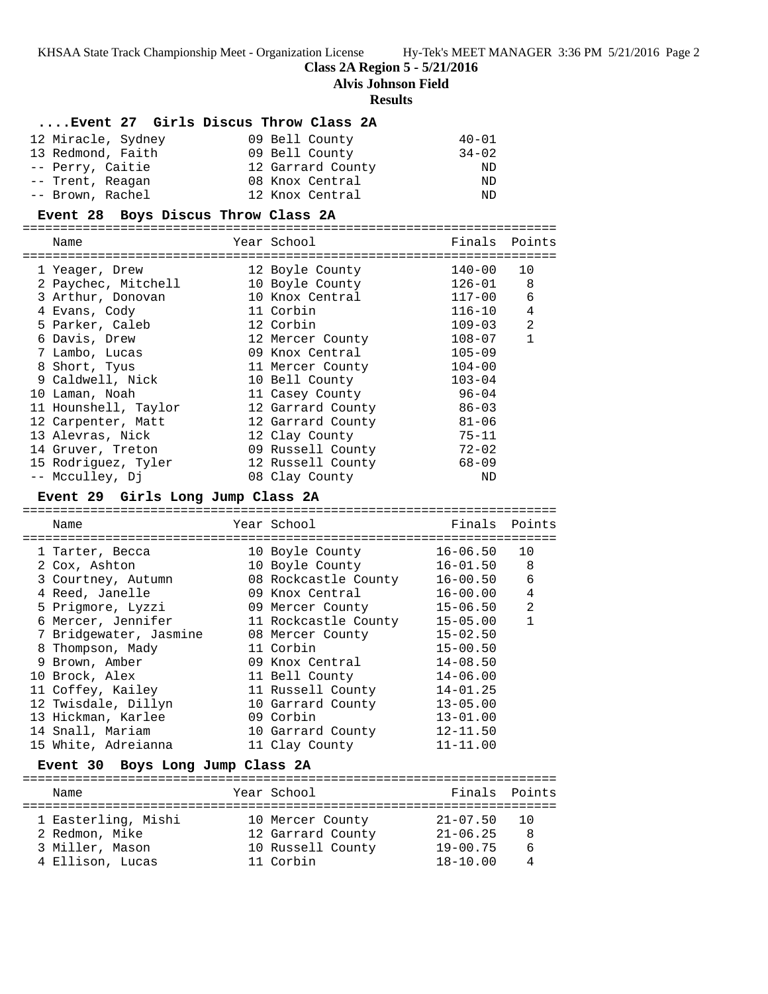#### **Class 2A Region 5 - 5/21/2016**

**Alvis Johnson Field**

#### **Results**

#### **....Event 27 Girls Discus Throw Class 2A**

| 12 Miracle, Sydney | 09 Bell County    | $40 - 01$ |
|--------------------|-------------------|-----------|
| 13 Redmond, Faith  | 09 Bell County    | $34 - 02$ |
| -- Perry, Caitie   | 12 Garrard County | ND        |
| -- Trent, Reagan   | 08 Knox Central   | ND.       |
| -- Brown, Rachel   | 12 Knox Central   | ND        |

#### **Event 28 Boys Discus Throw Class 2A**

======================================================================= Name The Year School The Finals Points ======================================================================= 1 Yeager, Drew 12 Boyle County 140-00 10 2 Paychec, Mitchell 10 Boyle County 126-01 8 3 Arthur, Donovan 10 Knox Central 117-00 6 4 Evans, Cody 11 Corbin 116-10 4 5 Parker, Caleb 12 Corbin 109-03 2 6 Davis, Drew 12 Mercer County 108-07 1 7 Lambo, Lucas 09 Knox Central 105-09

| 8 Short, Tyus        | 11 Mercer County  | $104 - 00$ |
|----------------------|-------------------|------------|
| 9 Caldwell, Nick     | 10 Bell County    | $103 - 04$ |
| 10 Laman, Noah       | 11 Casey County   | $96 - 04$  |
| 11 Hounshell, Taylor | 12 Garrard County | $86 - 03$  |
| 12 Carpenter, Matt   | 12 Garrard County | $81 - 06$  |
| 13 Alevras, Nick     | 12 Clay County    | $75 - 11$  |
| 14 Gruver, Treton    | 09 Russell County | $72 - 02$  |
| 15 Rodriquez, Tyler  | 12 Russell County | $68 - 09$  |
| -- Mcculley, Dj      | 08 Clay County    | ND         |

#### **Event 29 Girls Long Jump Class 2A**

======================================================================= Name The Year School Team Points Points ======================================================================= 1 Tarter, Becca 10 Boyle County 16-06.50 10 2 Cox, Ashton 10 Boyle County 16-01.50 8 3 Courtney, Autumn 08 Rockcastle County 16-00.50 6 4 Reed, Janelle 09 Knox Central 16-00.00 4 5 Prigmore, Lyzzi 09 Mercer County 15-06.50 2 6 Mercer, Jennifer 11 Rockcastle County 15-05.00 1 7 Bridgewater, Jasmine 08 Mercer County 15-02.50 8 Thompson, Mady 11 Corbin 15-00.50 9 Brown, Amber 09 Knox Central 14-08.50 10 Brock, Alex 11 Bell County 14-06.00 11 Coffey, Kailey 11 Russell County 14-01.25 12 Twisdale, Dillyn 10 Garrard County 13-05.00 13 Hickman, Karlee 09 Corbin 13-01.00 14 Snall, Mariam 10 Garrard County 12-11.50 15 White, Adreianna 11 Clay County 11-11.00 **Event 30 Boys Long Jump Class 2A** =======================================================================

| Name                                                                         | Year School                                                             | Finals Points                                                |                         |
|------------------------------------------------------------------------------|-------------------------------------------------------------------------|--------------------------------------------------------------|-------------------------|
| 1 Easterling, Mishi<br>2 Redmon, Mike<br>3 Miller, Mason<br>4 Ellison, Lucas | 10 Mercer County<br>12 Garrard County<br>10 Russell County<br>11 Corbin | $21 - 07.50$<br>$21 - 06.25$<br>$19 - 00.75$<br>$18 - 10.00$ | $\Box$ $\Box$<br>6<br>4 |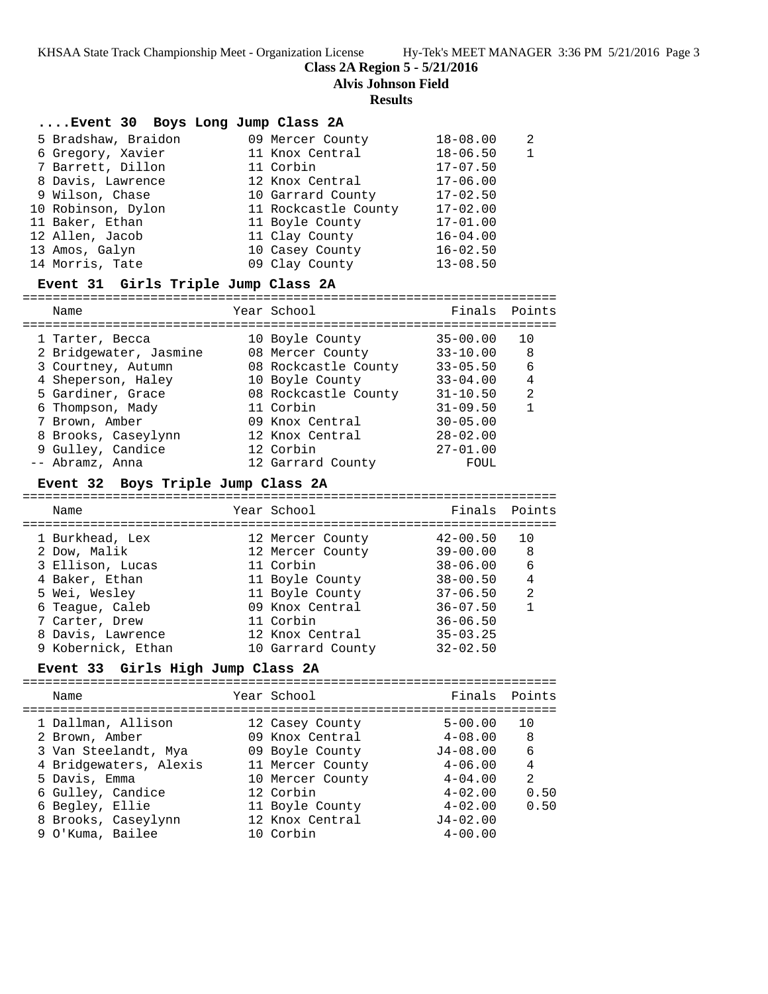**Class 2A Region 5 - 5/21/2016**

**Alvis Johnson Field**

#### **Results**

| Event 30 Boys Long Jump Class 2A |                      |              |   |
|----------------------------------|----------------------|--------------|---|
| 5 Bradshaw, Braidon              | 09 Mercer County     | $18 - 08.00$ | 2 |
| 6 Gregory, Xavier                | 11 Knox Central      | $18 - 06.50$ |   |
| 7 Barrett, Dillon                | 11 Corbin            | $17 - 07.50$ |   |
| 8 Davis, Lawrence                | 12 Knox Central      | $17 - 06.00$ |   |
| 9 Wilson, Chase                  | 10 Garrard County    | $17 - 02.50$ |   |
| 10 Robinson, Dylon               | 11 Rockcastle County | $17 - 02.00$ |   |
| 11 Baker, Ethan                  | 11 Boyle County      | $17 - 01.00$ |   |
| 12 Allen, Jacob                  | 11 Clay County       | $16 - 04.00$ |   |
| 13 Amos, Galyn                   | 10 Casey County      | $16 - 02.50$ |   |
| 14 Morris, Tate                  | 09 Clay County       | $13 - 08.50$ |   |

## **Event 31 Girls Triple Jump Class 2A**

=======================================================================

| Name |                                                                                                                                                                                                                 | Finals                                                                                                                                                                                                     | Points                       |
|------|-----------------------------------------------------------------------------------------------------------------------------------------------------------------------------------------------------------------|------------------------------------------------------------------------------------------------------------------------------------------------------------------------------------------------------------|------------------------------|
|      |                                                                                                                                                                                                                 |                                                                                                                                                                                                            | 10                           |
|      |                                                                                                                                                                                                                 |                                                                                                                                                                                                            |                              |
|      |                                                                                                                                                                                                                 |                                                                                                                                                                                                            | 8                            |
|      |                                                                                                                                                                                                                 | $33 - 05.50$                                                                                                                                                                                               | 6                            |
|      |                                                                                                                                                                                                                 | $33 - 04.00$                                                                                                                                                                                               | 4                            |
|      |                                                                                                                                                                                                                 | $31 - 10.50$                                                                                                                                                                                               | 2                            |
|      |                                                                                                                                                                                                                 | $31 - 09.50$                                                                                                                                                                                               |                              |
|      |                                                                                                                                                                                                                 | $30 - 05.00$                                                                                                                                                                                               |                              |
|      |                                                                                                                                                                                                                 | $28 - 02.00$                                                                                                                                                                                               |                              |
|      |                                                                                                                                                                                                                 | $27 - 01.00$                                                                                                                                                                                               |                              |
|      |                                                                                                                                                                                                                 | FOUL                                                                                                                                                                                                       |                              |
|      | 1 Tarter, Becca<br>2 Bridgewater, Jasmine<br>3 Courtney, Autumn<br>4 Sheperson, Haley<br>5 Gardiner, Grace<br>6 Thompson, Mady<br>7 Brown, Amber<br>8 Brooks, Caseylynn<br>9 Gulley, Candice<br>-- Abramz, Anna | Year School<br>10 Boyle County<br>08 Mercer County<br>08 Rockcastle County<br>10 Boyle County<br>08 Rockcastle County<br>11 Corbin<br>09 Knox Central<br>12 Knox Central<br>12 Corbin<br>12 Garrard County | $35 - 00.00$<br>$33 - 10.00$ |

## **Event 32 Boys Triple Jump Class 2A**

| Name               | Year School       | Finals Points |                |
|--------------------|-------------------|---------------|----------------|
| 1 Burkhead, Lex    | 12 Mercer County  | $42 - 00.50$  | 10             |
| 2 Dow, Malik       | 12 Mercer County  | $39 - 00.00$  | 8              |
| 3 Ellison, Lucas   | 11 Corbin         | $38 - 06.00$  | 6              |
| 4 Baker, Ethan     | 11 Boyle County   | $38 - 00.50$  | $\overline{4}$ |
| 5 Wei, Wesley      | 11 Boyle County   | $37 - 06.50$  | 2              |
| 6 Teaque, Caleb    | 09 Knox Central   | $36 - 07.50$  | 1              |
| 7 Carter, Drew     | 11 Corbin         | $36 - 06.50$  |                |
| 8 Davis, Lawrence  | 12 Knox Central   | $35 - 03.25$  |                |
| 9 Kobernick, Ethan | 10 Garrard County | $32 - 02.50$  |                |
|                    |                   |               |                |

#### **Event 33 Girls High Jump Class 2A**

| Name                   | Year School      | Finals Points |                |
|------------------------|------------------|---------------|----------------|
| 1 Dallman, Allison     | 12 Casey County  | $5 - 00.00$   | 10             |
| 2 Brown, Amber         | 09 Knox Central  | $4 - 08.00$   | -8             |
| 3 Van Steelandt, Mya   | 09 Boyle County  | $J4 - 08.00$  | 6              |
| 4 Bridgewaters, Alexis | 11 Mercer County | $4 - 06.00$   | 4              |
| 5 Davis, Emma          | 10 Mercer County | $4 - 04.00$   | $\mathfrak{D}$ |
| 6 Gulley, Candice      | 12 Corbin        | $4 - 02.00$   | 0.50           |
| 6 Begley, Ellie        | 11 Boyle County  | $4 - 02.00$   | 0.50           |
| 8 Brooks, Caseylynn    | 12 Knox Central  | $J4 - 02.00$  |                |
| 9 O'Kuma, Bailee       | 10 Corbin        | $4 - 00.00$   |                |
|                        |                  |               |                |